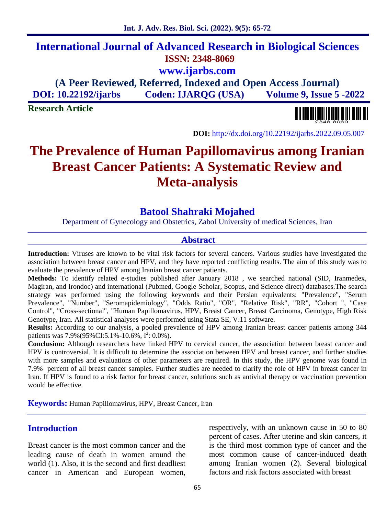**Int. J. Adv. Res. Biol. Sci. (2022). 9(5): 65-72**

**www.ijarbs.com**

**(A Peer Reviewed, Referred, Indexed and Open Access Journal) DOI: 10.22192/ijarbs Coden: IJARQG (USA) Volume 9, Issue 5 -2022**

**Research Article**



**DOI:** http://dx.doi.org/10.22192/ijarbs.2022.09.05.007

# **The Prevalence of Human Papillomavirus among Iranian Breast Cancer Patients: A Systematic Review and Meta-analysis**

# **Batool Shahraki Mojahed**

Department of Gynecology and Obstetrics, Zabol University of medical Sciences, Iran

#### **Abstract**

**Introduction:** Viruses are known to be vital risk factors for several cancers. Various studies have investigated the association between breast cancer and HPV, and they have reported conflicting results. The aim of this study was to evaluate the prevalence of HPV among Iranian breast cancer patients.

**Methods:** To identify related e-studies published after January 2018 , we searched national (SID, Iranmedex, Magiran, and Irondoc) and international (Pubmed, Google Scholar, Scopus, and Science direct) databases.The search strategy was performed using the following keywords and their Persian equivalents: "Prevalence", "Serum Prevalence", "Number", "Seromapidemiology", "Odds Ratio", "OR", "Relative Risk", "RR", "Cohort ", "Case Control", "Cross-sectional", "Human Papillomavirus, HPV, Breast Cancer, Breast Carcinoma, Genotype, High Risk Genotype, Iran. All statistical analyses were performed using Stata SE, V.11 software.

**Results:** According to our analysis, a pooled prevalence of HPV among Iranian breast cancer patients among 344 patients was  $7.9\%$  (95% CI: 5.1% - 10.6%,  $I^2$ : 0.0%).

**Conclusion:** Although researchers have linked HPV to cervical cancer, the association between breast cancer and HPV is controversial. It is difficult to determine the association between HPV and breast cancer, and further studies with more samples and evaluations of other parameters are required. In this study, the HPV genome was found in 7.9% percent of all breast cancer samples. Further studies are needed to clarify the role of HPV in breast cancer in Iran. If HPV is found to a risk factor for breast cancer, solutions such as antiviral therapy or vaccination prevention would be effective.

**Keywords:** Human Papillomavirus, HPV, Breast Cancer, Iran

### **Introduction**

Breast cancer is the most common cancer and the leading cause of death in women around the world (1). Also, it is the second and first deadliest cancer in American and European women,

respectively, with an unknown cause in 50 to 80 percent of cases. After uterine and skin cancers, it is the third most common type of cancer and the most common cause of cancer-induced death among Iranian women (2). Several biological factors and risk factors associated with breast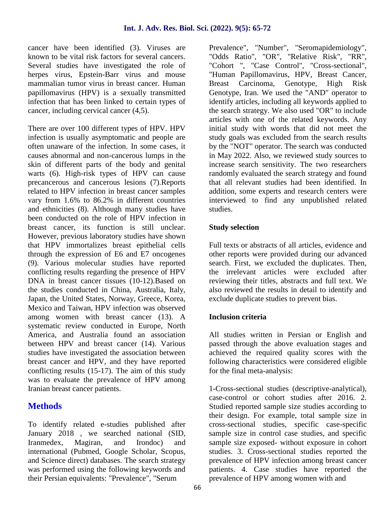cancer have been identified (3). Viruses are known to be vital risk factors for several cancers. Several studies have investigated the role of herpes virus, Epstein-Barr virus and mouse mammalian tumor virus in breast cancer. Human papillomavirus (HPV) is a sexually transmitted infection that has been linked to certain types of cancer, including cervical cancer (4,5).

There are over 100 different types of HPV. HPV infection is usually asymptomatic and people are often unaware of the infection. In some cases, it causes abnormal and non-cancerous lumps in the skin of different parts of the body and genital warts (6). High-risk types of HPV can cause precancerous and cancerous lesions (7).Reports related to HPV infection in breast cancer samples vary from 1.6% to 86.2% in different countries and ethnicities (8). Although many studies have been conducted on the role of HPV infection in breast cancer, its function is still unclear. However, previous laboratory studies have shown that HPV immortalizes breast epithelial cells through the expression of E6 and E7 oncogenes (9). Various molecular studies have reported conflicting results regarding the presence of HPV DNA in breast cancer tissues (10-12).Based on the studies conducted in China, Australia, Italy, Japan, the United States, Norway, Greece, Korea, Mexico and Taiwan, HPV infection was observed among women with breast cancer (13). A systematic review conducted in Europe, North America, and Australia found an association between HPV and breast cancer (14). Various studies have investigated the association between breast cancer and HPV, and they have reported conflicting results (15-17). The aim of this study was to evaluate the prevalence of HPV among Iranian breast cancer patients.

# **Methods**

To identify related e-studies published after January 2018 , we searched national (SID, Iranmedex, Magiran, and Irondoc) and international (Pubmed, Google Scholar, Scopus, and Science direct) databases. The search strategy was performed using the following keywords and their Persian equivalents: "Prevalence", "Serum

Prevalence", "Number", "Seromapidemiology", "Odds Ratio", "OR", "Relative Risk", "RR". "Cohort ", "Case Control", "Cross-sectional", "Human Papillomavirus, HPV, Breast Cancer, Breast Carcinoma, Genotype, High Risk Genotype, Iran. We used the "AND" operator to identify articles, including all keywords applied to the search strategy. We also used "OR" to include articles with one of the related keywords. Any initial study with words that did not meet the study goals was excluded from the search results by the "NOT" operator. The search was conducted in May 2022. Also, we reviewed study sources to increase search sensitivity. The two researchers randomly evaluated the search strategy and found that all relevant studies had been identified. In addition, some experts and research centers were interviewed to find any unpublished related studies.

### **Study selection**

Full texts or abstracts of all articles, evidence and other reports were provided during our advanced search. First, we excluded the duplicates. Then, the irrelevant articles were excluded after reviewing their titles, abstracts and full text. We also reviewed the results in detail to identify and exclude duplicate studies to prevent bias.

### **Inclusion criteria**

All studies written in Persian or English and passed through the above evaluation stages and achieved the required quality scores with the following characteristics were considered eligible for the final meta-analysis:

1-Cross-sectional studies (descriptive-analytical), case-control or cohort studies after 2016. 2. Studied reported sample size studies according to their design. For example, total sample size in cross-sectional studies, specific case-specific sample size in control case studies, and specific sample size exposed- without exposure in cohort studies. 3. Cross-sectional studies reported the prevalence of HPV infection among breast cancer patients. 4. Case studies have reported the prevalence of HPV among women with and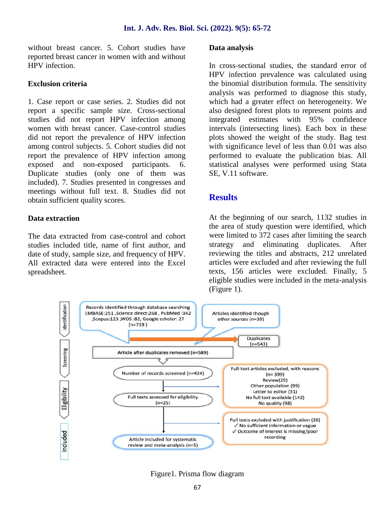without breast cancer. 5. Cohort studies have reported breast cancer in women with and without HPV infection.

#### **Exclusion criteria**

1. Case report or case series. 2. Studies did not report a specific sample size. Cross-sectional studies did not report HPV infection among women with breast cancer. Case-control studies did not report the prevalence of HPV infection among control subjects. 5. Cohort studies did not report the prevalence of HPV infection among exposed and non-exposed participants. 6. Duplicate studies (only one of them was included). 7. Studies presented in congresses and meetings without full text. 8. Studies did not obtain sufficient quality scores.

#### **Data extraction**

The data extracted from case-control and cohort studies included title, name of first author, and date of study, sample size, and frequency of HPV. All extracted data were entered into the Excel spreadsheet.

#### **Data analysis**

In cross-sectional studies, the standard error of HPV infection prevalence was calculated using the binomial distribution formula. The sensitivity analysis was performed to diagnose this study, which had a greater effect on heterogeneity. We also designed forest plots to represent points and integrated estimates with 95% confidence intervals (intersecting lines). Each box in these plots showed the weight of the study. Bag test with significance level of less than 0.01 was also performed to evaluate the publication bias. All statistical analyses were performed using Stata SE, V.11 software.

### **Results**

At the beginning of our search, 1132 studies in the area of study question were identified, which were limited to 372 cases after limiting the search and eliminating duplicates. After reviewing the titles and abstracts, 212 unrelated articles were excluded and after reviewing the full texts, 156 articles were excluded. Finally, 5 eligible studies were included in the meta-analysis (Figure 1).



Figure1. Prisma flow diagram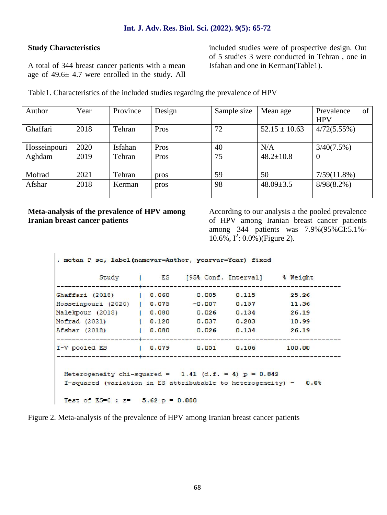#### **Study Characteristics**

A total of 344 breast cancer patients with a mean age of 49.6± 4.7 were enrolled in the study. All included studies were of prospective design. Out of 5 studies 3 were conducted in Tehran , one in Isfahan and one in Kerman(Table1).

Table1. Characteristics of the included studies regarding the prevalence of HPV

| Author       | Year | Province | Design | Sample size | Mean age          | of<br>Prevalence<br><b>HPV</b> |
|--------------|------|----------|--------|-------------|-------------------|--------------------------------|
| Ghaffari     | 2018 | Tehran   | Pros   | 72          | $52.15 \pm 10.63$ | 4/72(5.55%)                    |
| Hosseinpouri | 2020 | Isfahan  | Pros   | 40          | N/A               | 3/40(7.5%)                     |
| Aghdam       | 2019 | Tehran   | Pros   | 75          | $48.2 \pm 10.8$   | $\theta$                       |
| Mofrad       | 2021 | Tehran   | pros   | 59          | 50                | $7/59(11.8\%)$                 |
| Afshar       | 2018 | Kerman   | pros   | 98          | $48.09 \pm 3.5$   | $8/98(8.2\%)$                  |

**Meta-analysis of the prevalence of HPV among Iranian breast cancer patients**

According to our analysis a the pooled prevalence of HPV among Iranian breast cancer patients among 344 patients was 7.9%(95%CI:5.1%-  $10.6\%$ ,  $I^2$ :  $0.0\%$ )(Figure 2).

. metan P se, label(namevar=Author, yearvar=Year) fixed Study I ES [95% Conf. Interval] & Weight  $10.060$ Ghaffari (2018)  $0.005$  $0.115$  $25.26$ Hosseinpouri (2020)  $|0.075$  $-0.007$  $0.157$ 11,36 Malekpour (2018) | 0.080  $0.026$   $0.134$  $26.19$ Mofrad (2021)  $1 \quad 0.120$ 0.037  $0,203$ 10.99  $| 0.080$  $0.026$  $0.134$ Afshar (2018) 26,19 I-V pooled ES  $| 0.079$  $0.051$  $0.106$ 100.00 Heterogeneity chi-squared =  $1.41$  (d.f. = 4) p = 0.842 I-squared (variation in ES attributable to heterogeneity) = 0.0% Test of ES=0 :  $z=$  5.62 p = 0.000

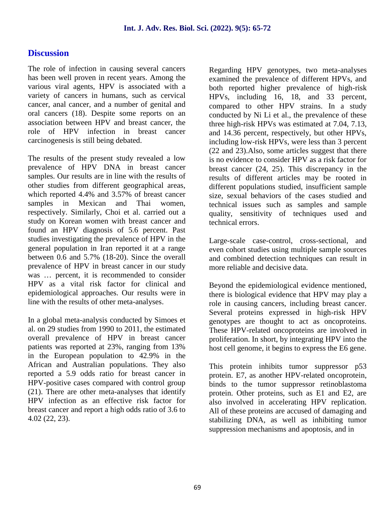### **Discussion**

The role of infection in causing several cancers has been well proven in recent years. Among the various viral agents, HPV is associated with a variety of cancers in humans, such as cervical cancer, anal cancer, and a number of genital and oral cancers (18). Despite some reports on an association between HPV and breast cancer, the role of HPV infection in breast cancer carcinogenesis is still being debated.

The results of the present study revealed a low prevalence of HPV DNA in breast cancer samples. Our results are in line with the results of other studies from different geographical areas, which reported 4.4% and 3.57% of breast cancer samples in Mexican and Thai women, respectively. Similarly, Choi et al. carried out a study on Korean women with breast cancer and found an HPV diagnosis of 5.6 percent. Past studies investigating the prevalence of HPV in the general population in Iran reported it at a range between 0.6 and 5.7% (18-20). Since the overall prevalence of HPV in breast cancer in our study was ... percent, it is recommended to consider HPV as a vital risk factor for clinical and epidemiological approaches. Our results were in line with the results of other meta-analyses.

In a global meta-analysis conducted by Simoes et al. on 29 studies from 1990 to 2011, the estimated overall prevalence of HPV in breast cancer patients was reported at 23%, ranging from 13% in the European population to 42.9% in the African and Australian populations. They also reported a 5.9 odds ratio for breast cancer in HPV-positive cases compared with control group (21). There are other meta-analyses that identify HPV infection as an effective risk factor for breast cancer and report a high odds ratio of 3.6 to 4.02 (22, 23).

Regarding HPV genotypes, two meta-analyses examined the prevalence of different HPVs, and both reported higher prevalence of high-risk HPVs, including 16, 18, and 33 percent, compared to other HPV strains. In a study conducted by Ni Li et al., the prevalence of these three high-risk HPVs was estimated at 7.04, 7.13, and 14.36 percent, respectively, but other HPVs, including low-risk HPVs, were less than 3 percent (22 and 23).Also, some articles suggest that there is no evidence to consider HPV as a risk factor for breast cancer (24, 25). This discrepancy in the results of different articles may be rooted in different populations studied, insufficient sample size, sexual behaviors of the cases studied and technical issues such as samples and sample quality, sensitivity of techniques used and technical errors.

Large-scale case-control, cross-sectional, and even cohort studies using multiple sample sources and combined detection techniques can result in more reliable and decisive data.

Beyond the epidemiological evidence mentioned, there is biological evidence that HPV may play a role in causing cancers, including breast cancer. Several proteins expressed in high-risk HPV genotypes are thought to act as oncoproteins. These HPV-related oncoproteins are involved in proliferation. In short, by integrating HPV into the host cell genome, it begins to express the E6 gene.

This protein inhibits tumor suppressor p53 protein. E7, as another HPV-related oncoprotein, binds to the tumor suppressor retinoblastoma protein. Other proteins, such as E1 and E2, are also involved in accelerating HPV replication. All of these proteins are accused of damaging and stabilizing DNA, as well as inhibiting tumor suppression mechanisms and apoptosis, and in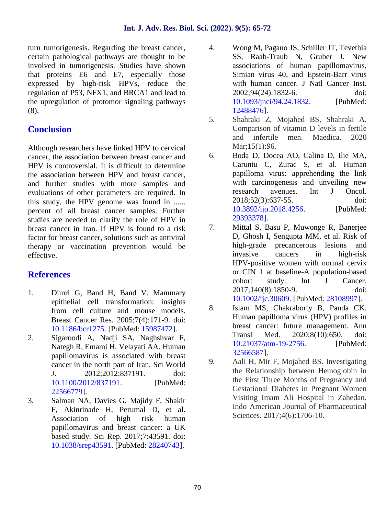turn tumorigenesis. Regarding the breast cancer, certain pathological pathways are thought to be involved in tumorigenesis. Studies have shown that proteins E6 and E7, especially those expressed by high-risk HPVs, reduce the regulation of P53, NFX1, and BRCA1 and lead to the upregulation of protomor signaling pathways (8).

# **Conclusion**

Although researchers have linked HPV to cervical cancer, the association between breast cancer and  $\qquad 6.$ HPV is controversial. It is difficult to determine the association between HPV and breast cancer, and further studies with more samples and evaluations of other parameters are required. In this study, the HPV genome was found in ...... percent of all breast cancer samples. Further studies are needed to clarify the role of HPV in<br>heast cancer in Iran. If HPV is found to a risk 7. breast cancer in Iran. If HPV is found to a risk factor for breast cancer, solutions such as antiviral therapy or vaccination prevention would be effective.

# **References**

- 1. Dimri G, Band H, Band V. Mammary epithelial cell transformation: insights from cell culture and mouse models. Breast Cancer Res. 2005;7(4):171-9. doi: 10.1186/bcr1275. [PubMed: 15987472].
- 2. Sigaroodi A, Nadji SA, Naghshvar F, Nategh R, Emami H, Velayati AA. Human papillomavirus is associated with breast experimentally as associated with steam.<br>
example the north part of Iran. Sci World 9. J. 2012;2012:837191. doi: 10.1100/2012/837191. [PubMed: 22566779].
- 3. Salman NA, Davies G, Majidy F, Shakir F, Akinrinade H, Perumal D, et al. Association of high risk human papillomavirus and breast cancer: a UK based study. Sci Rep. 2017;7:43591. doi: 10.1038/srep43591. [PubMed: 28240743].
- 4. Wong M, Pagano JS, Schiller JT, Tevethia SS, Raab-Traub N, Gruber J. New associations of human papillomavirus, Simian virus 40, and Epstein-Barr virus with human cancer. J Natl Cancer Inst. 2002;94(24):1832-6. doi: 10.1093/jnci/94.24.1832. [PubMed: 12488476].
- 5. Shahraki Z, Mojahed BS, Shahraki A. Comparison of vitamin D levels in fertile and infertile men. Maedica. 2020 Mar;15(1):96.
- 6. Boda D, Docea AO, Calina D, Ilie MA, Caruntu C, Zurac S, et al. Human papilloma virus: apprehending the link with carcinogenesis and unveiling new research avenues. Int J Oncol. 2018;52(3):637-55. doi: 10.3892/ijo.2018.4256. [PubMed: 29393378].
- 7. Mittal S, Basu P, Muwonge R, Banerjee D, Ghosh I, Sengupta MM, et al. Risk of high grade precancerous lesions and invasive cancers in high-risk HPV positive women with normal cervix or CIN 1 at baseline-A population based cohort study. Int J Cancer. 2017;140(8):1850-9. doi: 10.1002/ijc.30609. [PubMed: 28108997].
- 8. Islam MS, Chakraborty B, Panda CK. Human papilloma virus (HPV) profiles in breast cancer: future management. Ann Transl Med. 2020;8(10):650. doi: 10.21037/atm-19-2756. [PubMed: 32566587].
- 9. Aali H, Mir F, Mojahed BS. Investigating the Relationship between Hemoglobin in the First Three Months of Pregnancy and Gestational Diabetes in Pregnant Women Visiting Imam Ali Hospital in Zahedan. Indo American Journal of Pharmaceutical Sciences. 2017;4(6):1706-10.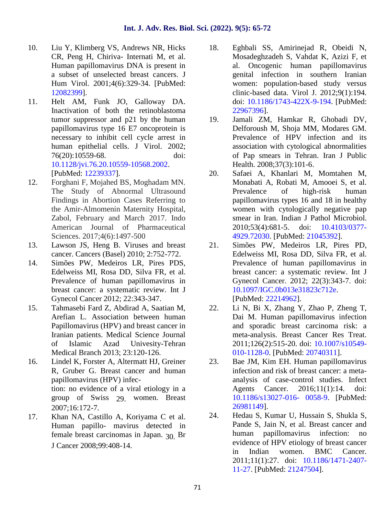- 10. Liu Y, Klimberg VS, Andrews NR, Hicks CR, Peng H, Chiriva- Internati M, et al. Human papillomavirus DNA is present in a subset of unselected breast cancers. J Hum Virol. 2001;4(6):329-34. [PubMed: 12082399].
- 11. Helt AM, Funk JO, Galloway DA. Inactivation of both the retinoblastoma tumor suppressor and p21 by the human 19. papillomavirus type 16 E7 oncoprotein is necessary to inhibit cell cycle arrest in human epithelial cells. J Virol. 2002; 76(20):10559-68. doi: 10.1128/jvi.76.20.10559-10568.2002. [PubMed: 12239337].
- 12. Forghani F, Mojahed BS, Moghadam MN. The Study of Abnormal Ultrasound Findings in Abortion Cases Referring to the Amir-Almomenin Maternity Hospital, Zabol, February and March 2017. Indo American Journal of Pharmaceutical Sciences. 2017;4(6):1497-500
- 13. Lawson JS, Heng B. Viruses and breast cancer. Cancers (Basel) 2010; 2:752-772.
- 14. Simões PW, Medeiros LR, Pires PDS, Edelweiss MI, Rosa DD, Silva FR, et al. Prevalence of human papillomavirus in breast cancer: a systematic review. Int J Gynecol Cancer 2012; 22:343-347.
- 15. Tahmasebi Fard Z, Abdirad A, Saatian M, Arefian L. Association between human Papillomavirus (HPV) and breast cancer in Iranian patients. Medical Science Journal of Islamic Azad Univesity-Tehran Medical Branch 2013; 23:120-126.
- 16. Lindel K, Forster A, Altermatt HJ, Greiner R, Gruber G. Breast cancer and human papillomavirus (HPV) infection: no evidence of a viral etiology in a group of Swiss 29. women. Breast 2007;16:172-7.
- 17. Khan NA, Castillo A, Koriyama C et al. Human papillo- mavirus detected in female breast carcinomas in Japan. 30. Br J Cancer 2008;99:408-14.
- 18. Eghbali SS, Amirinejad R, Obeidi N, Mosadeghzadeh S, Vahdat K, Azizi F, et al. Oncogenic human papillomavirus genital infection in southern Iranian women: population-based study versus clinic-based data. Virol J. 2012;9(1):194. doi: 10.1186/1743-422X-9-194. [PubMed: 22967396].
- Jamali ZM, Hamkar R, Ghobadi DV, Delforoush M, Shoja MM, Modares GM. Prevalence of HPV infection and its association with cytological abnormalities of Pap smears in Tehran. Iran J Public Health. 2008;37(3):101-6.
- 20. Safaei A, Khanlari M, Momtahen M, Monabati A, Robati M, Amooei S, et al. Prevalence of high-risk human papillomavirus types 16 and 18 in healthy women with cytologically negative pap smear in Iran. Indian J Pathol Microbiol. 2010;53(4):681-5. doi: 10.4103/0377- 4929.72030. [PubMed: 21045392].
- 21. Simões PW, Medeiros LR, Pires PD, Edelweiss MI, Rosa DD, Silva FR, et al. Prevalence of human papillomavirus in breast cancer: a systematic review. Int J Gynecol Cancer. 2012; 22(3):343-7. doi: 10.1097/IGC.0b013e31823c712e. [PubMed: 22214962].
- 22. Li N, Bi X, Zhang Y, Zhao P, Zheng T, Dai M. Human papillomavirus infection and sporadic breast carcinoma risk: a meta-analysis. Breast Cancer Res Treat. 2011;126(2):515-20. doi: 10.1007/s10549- 010-1128-0. [PubMed: 20740311].
- 23. Bae JM, Kim EH. Human papillomavirus infection and risk of breast cancer: a meta analysis of case-control studies. Infect Agents Cancer. 2016;11(1):14. doi: 10.1186/s13027-016- 0058-9. [PubMed: 26981149].
- 24. Hedau S, Kumar U, Hussain S, Shukla S, Pande S, Jain N, et al. Breast cancer and human papillomavirus infection: no evidence of HPV etiology of breast cancer in Indian women. BMC Cancer. 2011;11(1):27. doi: 10.1186/1471-2407- 11-27. [PubMed: 21247504].